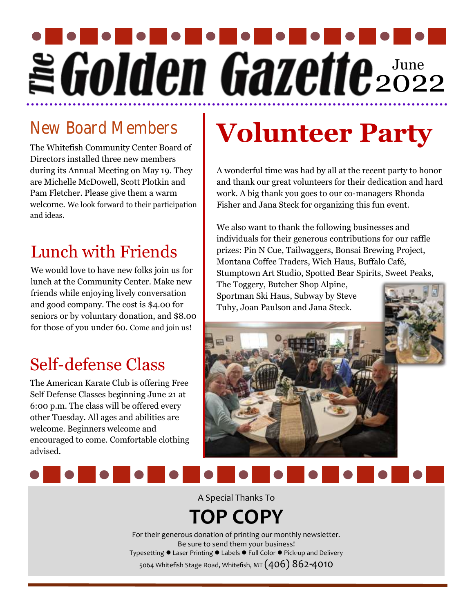# June 2022

### New Board Members

The Whitefish Community Center Board of Directors installed three new members during its Annual Meeting on May 19. They are Michelle McDowell, Scott Plotkin and Pam Fletcher. Please give them a warm welcome. We look forward to their participation and ideas.

# Lunch with Friends

We would love to have new folks join us for lunch at the Community Center. Make new friends while enjoying lively conversation and good company. The cost is \$4.00 for seniors or by voluntary donation, and \$8.00 for those of you under 60. Come and join us!

## Self-defense Class

The American Karate Club is offering Free Self Defense Classes beginning June 21 at 6:00 p.m. The class will be offered every other Tuesday. All ages and abilities are welcome. Beginners welcome and encouraged to come. Comfortable clothing advised.

# **Volunteer Party**

A wonderful time was had by all at the recent party to honor and thank our great volunteers for their dedication and hard work. A big thank you goes to our co-managers Rhonda Fisher and Jana Steck for organizing this fun event.

We also want to thank the following businesses and individuals for their generous contributions for our raffle prizes: Pin N Cue, Tailwaggers, Bonsai Brewing Project, Montana Coffee Traders, Wich Haus, Buffalo Café, Stumptown Art Studio, Spotted Bear Spirits, Sweet Peaks,

The Toggery, Butcher Shop Alpine, Sportman Ski Haus, Subway by Steve Tuhy, Joan Paulson and Jana Steck.





A Special Thanks To

# **TOP COPY**

For their generous donation of printing our monthly newsletter. Be sure to send them your business! Typesetting ⚫ Laser Printing ⚫ Labels ⚫ Full Color ⚫ Pick-up and Delivery 5064 Whitefish Stage Road, Whitefish, MT  $(406)$   $86$ 2- $4010$